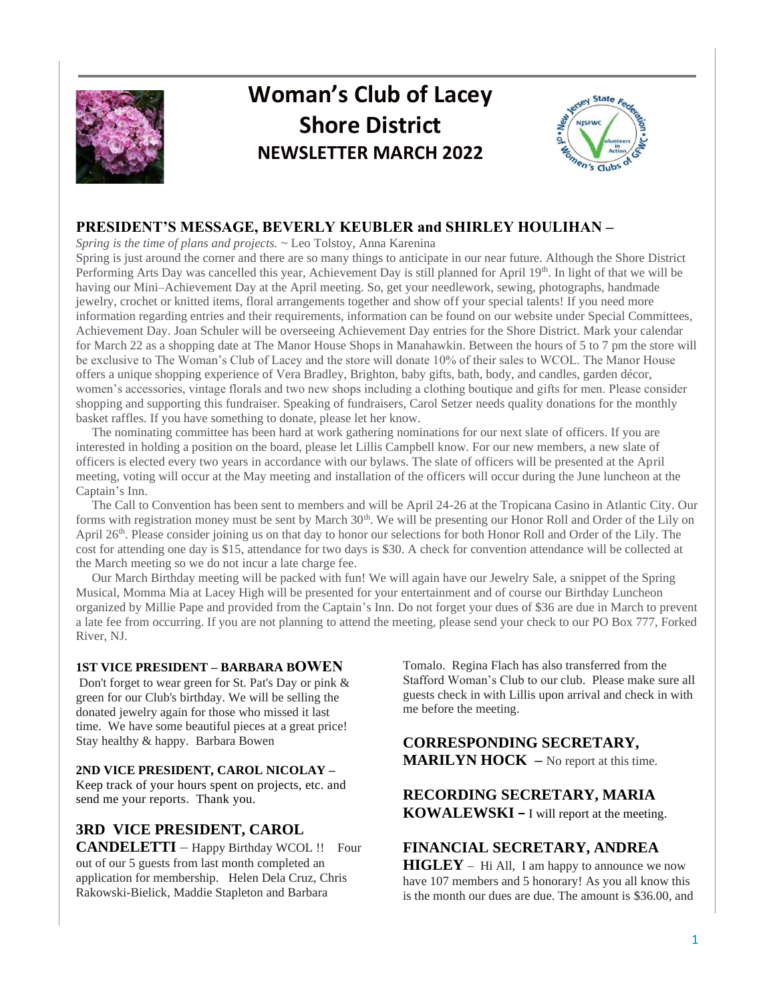

# **Woman's Club of Lacey Shore District NEWSLETTER MARCH 2022**



## **PRESIDENT'S MESSAGE, BEVERLY KEUBLER and SHIRLEY HOULIHAN –**

*Spring is the time of plans and projects.* ~ Leo Tolstoy, Anna Karenina

Spring is just around the corner and there are so many things to anticipate in our near future. Although the Shore District Performing Arts Day was cancelled this year, Achievement Day is still planned for April 19th. In light of that we will be having our Mini–Achievement Day at the April meeting. So, get your needlework, sewing, photographs, handmade jewelry, crochet or knitted items, floral arrangements together and show off your special talents! If you need more information regarding entries and their requirements, information can be found on our website under Special Committees, Achievement Day. Joan Schuler will be overseeing Achievement Day entries for the Shore District. Mark your calendar for March 22 as a shopping date at The Manor House Shops in Manahawkin. Between the hours of 5 to 7 pm the store will be exclusive to The Woman's Club of Lacey and the store will donate 10% of their sales to WCOL. The Manor House offers a unique shopping experience of Vera Bradley, Brighton, baby gifts, bath, body, and candles, garden décor, women's accessories, vintage florals and two new shops including a clothing boutique and gifts for men. Please consider shopping and supporting this fundraiser. Speaking of fundraisers, Carol Setzer needs quality donations for the monthly basket raffles. If you have something to donate, please let her know.

 The nominating committee has been hard at work gathering nominations for our next slate of officers. If you are interested in holding a position on the board, please let Lillis Campbell know. For our new members, a new slate of officers is elected every two years in accordance with our bylaws. The slate of officers will be presented at the April meeting, voting will occur at the May meeting and installation of the officers will occur during the June luncheon at the Captain's Inn.

 The Call to Convention has been sent to members and will be April 24-26 at the Tropicana Casino in Atlantic City. Our forms with registration money must be sent by March 30<sup>th</sup>. We will be presenting our Honor Roll and Order of the Lily on April 26<sup>th</sup>. Please consider joining us on that day to honor our selections for both Honor Roll and Order of the Lily. The cost for attending one day is \$15, attendance for two days is \$30. A check for convention attendance will be collected at the March meeting so we do not incur a late charge fee.

 Our March Birthday meeting will be packed with fun! We will again have our Jewelry Sale, a snippet of the Spring Musical, Momma Mia at Lacey High will be presented for your entertainment and of course our Birthday Luncheon organized by Millie Pape and provided from the Captain's Inn. Do not forget your dues of \$36 are due in March to prevent a late fee from occurring. If you are not planning to attend the meeting, please send your check to our PO Box 777, Forked River, NJ.

#### **1ST VICE PRESIDENT – BARBARA BOWEN**

Don't forget to wear green for St. Pat's Day or pink & green for our Club's birthday. We will be selling the donated jewelry again for those who missed it last time. We have some beautiful pieces at a great price! Stay healthy & happy. Barbara Bowen

#### **2ND VICE PRESIDENT, CAROL NICOLAY –**

Keep track of your hours spent on projects, etc. and send me your reports. Thank you.

## **3RD VICE PRESIDENT, CAROL**

**CANDELETTI** – Happy Birthday WCOL !! Four out of our 5 guests from last month completed an application for membership. Helen Dela Cruz, Chris Rakowski-Bielick, Maddie Stapleton and Barbara

Tomalo. Regina Flach has also transferred from the Stafford Woman's Club to our club. Please make sure all guests check in with Lillis upon arrival and check in with me before the meeting.

## **CORRESPONDING SECRETARY, MARILYN HOCK** – No report at this time.

# **RECORDING SECRETARY, MARIA**

**KOWALEWSKI –** I will report at the meeting.

## **FINANCIAL SECRETARY, ANDREA**

**HIGLEY** – Hi All, I am happy to announce we now have 107 members and 5 honorary! As you all know this is the month our dues are due. The amount is \$36.00, and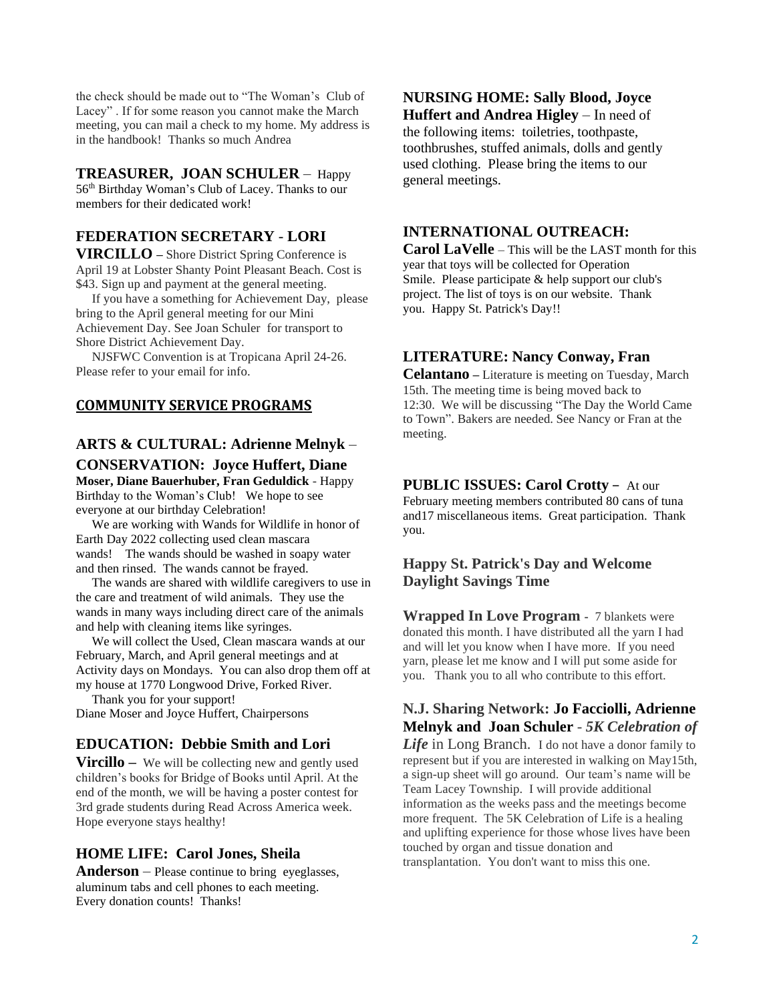the check should be made out to "The Woman's Club of Lacey" . If for some reason you cannot make the March meeting, you can mail a check to my home. My address is in the handbook! Thanks so much Andrea

#### **TREASURER, JOAN SCHULER** – Happy

56th Birthday Woman's Club of Lacey. Thanks to our members for their dedicated work!

## **FEDERATION SECRETARY** - **LORI**

**VIRCILLO –** Shore District Spring Conference is April 19 at Lobster Shanty Point Pleasant Beach. Cost is \$43. Sign up and payment at the general meeting.

 If you have a something for Achievement Day, please bring to the April general meeting for our Mini Achievement Day. See Joan Schuler for transport to Shore District Achievement Day.

 NJSFWC Convention is at Tropicana April 24-26. Please refer to your email for info.

#### **COMMUNITY SERVICE PROGRAMS**

## **ARTS & CULTURAL: Adrienne Melnyk** – **CONSERVATION: Joyce Huffert, Diane**

**Moser, Diane Bauerhuber, Fran Geduldick** - Happy Birthday to the Woman's Club! We hope to see everyone at our birthday Celebration!

 We are working with Wands for Wildlife in honor of Earth Day 2022 collecting used clean mascara wands! The wands should be washed in soapy water and then rinsed. The wands cannot be frayed.

 The wands are shared with wildlife caregivers to use in the care and treatment of wild animals. They use the wands in many ways including direct care of the animals and help with cleaning items like syringes.

 We will collect the Used, Clean mascara wands at our February, March, and April general meetings and at Activity days on Mondays. You can also drop them off at my house at 1770 Longwood Drive, Forked River.

 Thank you for your support! Diane Moser and Joyce Huffert, Chairpersons

## **EDUCATION: Debbie Smith and Lori**

**Vircillo** – We will be collecting new and gently used children's books for Bridge of Books until April. At the end of the month, we will be having a poster contest for 3rd grade students during Read Across America week. Hope everyone stays healthy!

## **HOME LIFE: Carol Jones, Sheila**

**Anderson** – Please continue to bring eyeglasses, aluminum tabs and cell phones to each meeting. Every donation counts! Thanks!

## **NURSING HOME: Sally Blood, Joyce**

**Huffert and Andrea Higley** – In need of the following items: toiletries, toothpaste, toothbrushes, stuffed animals, dolls and gently used clothing. Please bring the items to our general meetings.

## **INTERNATIONAL OUTREACH:**

**Carol LaVelle** – This will be the LAST month for this year that toys will be collected for Operation Smile. Please participate & help support our club's project. The list of toys is on our website. Thank you. Happy St. Patrick's Day!!

#### **LITERATURE: Nancy Conway, Fran**

**Celantano –** Literature is meeting on Tuesday, March 15th. The meeting time is being moved back to 12:30. We will be discussing "The Day the World Came to Town". Bakers are needed. See Nancy or Fran at the meeting.

#### **PUBLIC ISSUES: Carol Crotty** – At our

February meeting members contributed 80 cans of tuna and17 miscellaneous items. Great participation. Thank you.

#### **Happy St. Patrick's Day and Welcome Daylight Savings Time**

**Wrapped In Love Program -** 7 blankets were donated this month. I have distributed all the yarn I had and will let you know when I have more. If you need yarn, please let me know and I will put some aside for you. Thank you to all who contribute to this effort.

**N.J. Sharing Network: Jo Facciolli, Adrienne Melnyk and Joan Schuler** - *5K Celebration of Life* in Long Branch. I do not have a donor family to represent but if you are interested in walking on May15th, a sign-up sheet will go around. Our team's name will be Team Lacey Township. I will provide additional information as the weeks pass and the meetings become more frequent. The 5K Celebration of Life is a healing and uplifting experience for those whose lives have been touched by organ and tissue donation and transplantation. You don't want to miss this one.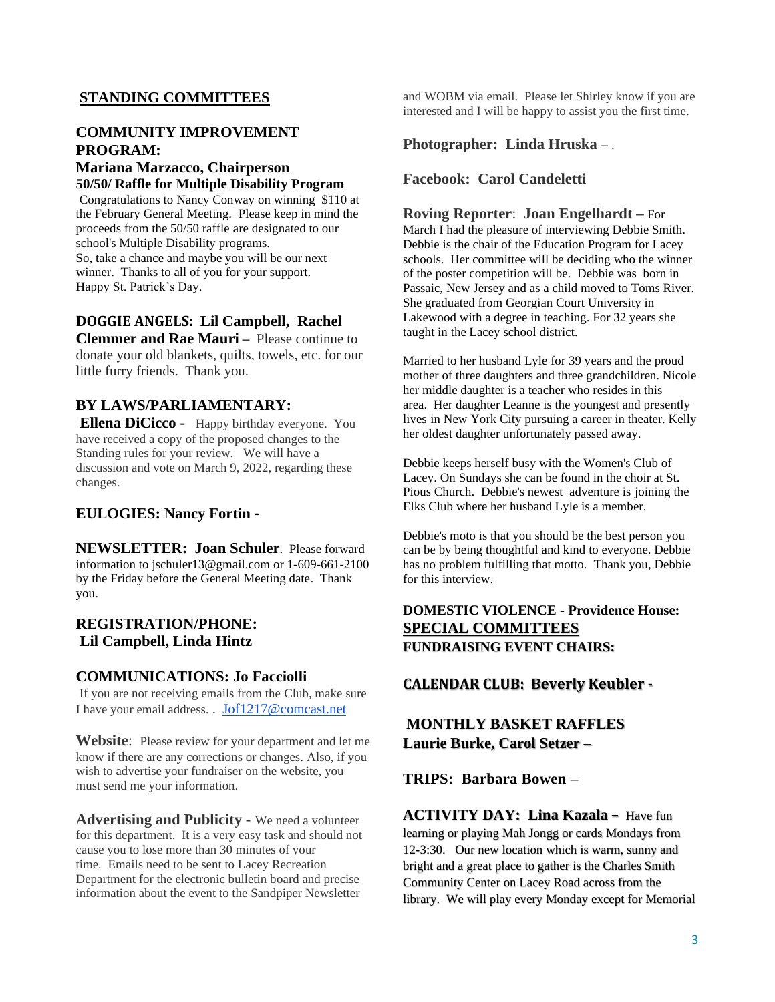## **STANDING COMMITTEES**

## **COMMUNITY IMPROVEMENT PROGRAM:**

#### **Mariana Marzacco, Chairperson 50/50/ Raffle for Multiple Disability Program**

Congratulations to Nancy Conway on winning \$110 at the February General Meeting. Please keep in mind the proceeds from the 50/50 raffle are designated to our school's Multiple Disability programs. So, take a chance and maybe you will be our next winner. Thanks to all of you for your support. Happy St. Patrick's Day.

#### **DOGGIE ANGELS: Lil Campbell, Rachel**

**Clemmer and Rae Mauri** – Please continue to donate your old blankets, quilts, towels, etc. for our little furry friends. Thank you.

#### **BY LAWS/PARLIAMENTARY:**

**Ellena DiCicco -** Happy birthday everyone. You have received a copy of the proposed changes to the Standing rules for your review. We will have a discussion and vote on March 9, 2022, regarding these changes.

#### **EULOGIES: Nancy Fortin -**

**NEWSLETTER: Joan Schuler**. Please forward information to [jschuler13@gmail.com](mailto:jschuler13@gmail.com) or 1-609-661-2100 by the Friday before the General Meeting date. Thank you.

#### **REGISTRATION/PHONE: Lil Campbell, Linda Hintz**

#### **COMMUNICATIONS: Jo Facciolli**

If you are not receiving emails from the Club, make sure I have your email address. . [Jof1217@comcast.net](mailto:Jof1217@comcast.net)

**Website**: Please review for your department and let me know if there are any corrections or changes. Also, if you wish to advertise your fundraiser on the website, you must send me your information.

**Advertising and Publicity** - We need a volunteer for this department. It is a very easy task and should not cause you to lose more than 30 minutes of your time. Emails need to be sent to Lacey Recreation Department for the electronic bulletin board and precise information about the event to the Sandpiper Newsletter

and WOBM via email. Please let Shirley know if you are interested and I will be happy to assist you the first time.

#### **Photographer: Linda Hruska –** .

#### **Facebook: Carol Candeletti**

#### **Roving Reporter**: **Joan Engelhardt –** For

March I had the pleasure of interviewing Debbie Smith. Debbie is the chair of the Education Program for Lacey schools. Her committee will be deciding who the winner of the poster competition will be. Debbie was born in Passaic, New Jersey and as a child moved to Toms River. She graduated from Georgian Court University in Lakewood with a degree in teaching. For 32 years she taught in the Lacey school district.

Married to her husband Lyle for 39 years and the proud mother of three daughters and three grandchildren. Nicole her middle daughter is a teacher who resides in this area. Her daughter Leanne is the youngest and presently lives in New York City pursuing a career in theater. Kelly her oldest daughter unfortunately passed away.

Debbie keeps herself busy with the Women's Club of Lacey. On Sundays she can be found in the choir at St. Pious Church. Debbie's newest adventure is joining the Elks Club where her husband Lyle is a member.

Debbie's moto is that you should be the best person you can be by being thoughtful and kind to everyone. Debbie has no problem fulfilling that motto. Thank you, Debbie for this interview.

## **DOMESTIC VIOLENCE - Providence House: SPECIAL COMMITTEES FUNDRAISING EVENT CHAIRS:**

#### **CALENDAR CLUB: Beverly Keubler -**

## **MONTHLY BASKET RAFFLES Laurie Burke, Carol Setzer –**

**TRIPS: Barbara Bowen –**

**ACTIVITY DAY: Lina Kazala –** Have fun learning or playing Mah Jongg or cards Mondays from 12-3:30. Our new location which is warm, sunny and bright and a great place to gather is the Charles Smith Community Center on Lacey Road across from the library. We will play every Monday except for Memorial